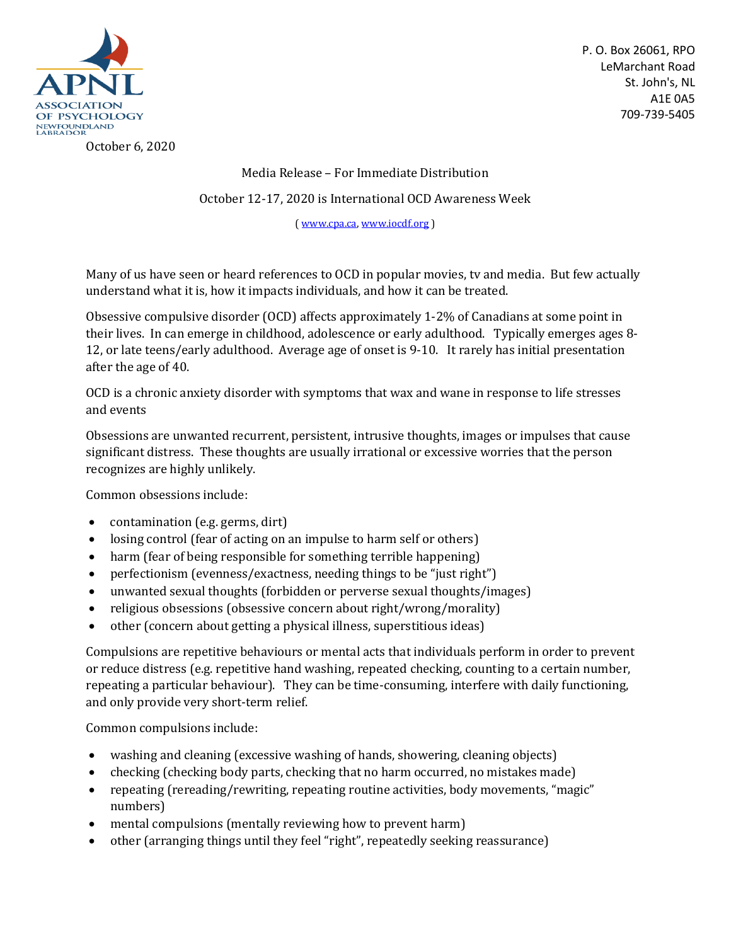

P. O. Box 26061, RPO LeMarchant Road St. John's, NL A1E 0A5 709-739-5405

October 6, 2020

Media Release – For Immediate Distribution

October 12-17, 2020 is International OCD Awareness Week

( [www.cpa.ca,](http://www.cpa.ca/) [www.iocdf.org](http://www.iocdf.org/) )

Many of us have seen or heard references to OCD in popular movies, tv and media. But few actually understand what it is, how it impacts individuals, and how it can be treated.

Obsessive compulsive disorder (OCD) affects approximately 1-2% of Canadians at some point in their lives. In can emerge in childhood, adolescence or early adulthood. Typically emerges ages 8- 12, or late teens/early adulthood. Average age of onset is 9-10. It rarely has initial presentation after the age of 40.

OCD is a chronic anxiety disorder with symptoms that wax and wane in response to life stresses and events

Obsessions are unwanted recurrent, persistent, intrusive thoughts, images or impulses that cause significant distress. These thoughts are usually irrational or excessive worries that the person recognizes are highly unlikely.

Common obsessions include:

- contamination (e.g. germs, dirt)
- losing control (fear of acting on an impulse to harm self or others)
- harm (fear of being responsible for something terrible happening)
- perfectionism (evenness/exactness, needing things to be "just right")
- unwanted sexual thoughts (forbidden or perverse sexual thoughts/images)
- religious obsessions (obsessive concern about right/wrong/morality)
- other (concern about getting a physical illness, superstitious ideas)

Compulsions are repetitive behaviours or mental acts that individuals perform in order to prevent or reduce distress (e.g. repetitive hand washing, repeated checking, counting to a certain number, repeating a particular behaviour). They can be time-consuming, interfere with daily functioning, and only provide very short-term relief.

Common compulsions include:

- washing and cleaning (excessive washing of hands, showering, cleaning objects)
- checking (checking body parts, checking that no harm occurred, no mistakes made)
- repeating (rereading/rewriting, repeating routine activities, body movements, "magic" numbers)
- mental compulsions (mentally reviewing how to prevent harm)
- other (arranging things until they feel "right", repeatedly seeking reassurance)